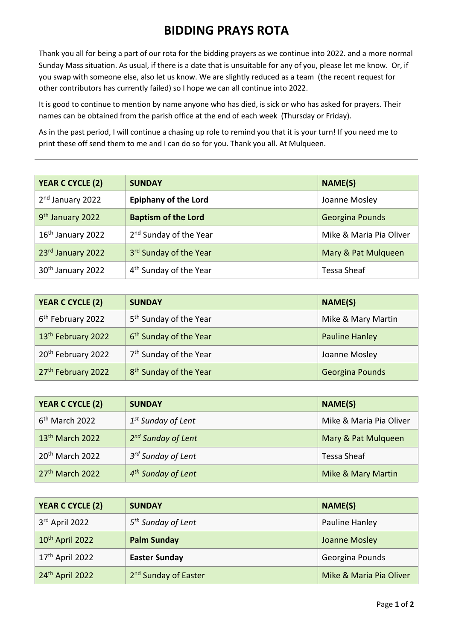## **BIDDING PRAYS ROTA**

Thank you all for being a part of our rota for the bidding prayers as we continue into 2022. and a more normal Sunday Mass situation. As usual, if there is a date that is unsuitable for any of you, please let me know. Or, if you swap with someone else, also let us know. We are slightly reduced as a team (the recent request for other contributors has currently failed) so I hope we can all continue into 2022.

It is good to continue to mention by name anyone who has died, is sick or who has asked for prayers. Their names can be obtained from the parish office at the end of each week (Thursday or Friday).

As in the past period, I will continue a chasing up role to remind you that it is your turn! If you need me to print these off send them to me and I can do so for you. Thank you all. At Mulqueen.

| <b>YEAR C CYCLE (2)</b>       | <b>SUNDAY</b>                      | <b>NAME(S)</b>          |
|-------------------------------|------------------------------------|-------------------------|
| 2 <sup>nd</sup> January 2022  | <b>Epiphany of the Lord</b>        | Joanne Mosley           |
| 9 <sup>th</sup> January 2022  | <b>Baptism of the Lord</b>         | <b>Georgina Pounds</b>  |
| 16 <sup>th</sup> January 2022 | 2 <sup>nd</sup> Sunday of the Year | Mike & Maria Pia Oliver |
| 23rd January 2022             | 3rd Sunday of the Year             | Mary & Pat Mulqueen     |
| 30 <sup>th</sup> January 2022 | 4 <sup>th</sup> Sunday of the Year | <b>Tessa Sheaf</b>      |

| YEAR C CYCLE (2)               | <b>SUNDAY</b>                      | NAME(S)               |
|--------------------------------|------------------------------------|-----------------------|
| 6 <sup>th</sup> February 2022  | 5 <sup>th</sup> Sunday of the Year | Mike & Mary Martin    |
| 13 <sup>th</sup> February 2022 | 6 <sup>th</sup> Sunday of the Year | <b>Pauline Hanley</b> |
| 20 <sup>th</sup> February 2022 | 7 <sup>th</sup> Sunday of the Year | Joanne Mosley         |
| 27 <sup>th</sup> February 2022 | 8 <sup>th</sup> Sunday of the Year | Georgina Pounds       |

| <b>YEAR C CYCLE (2)</b>     | <b>SUNDAY</b>                  | NAME(S)                 |
|-----------------------------|--------------------------------|-------------------------|
| $6th$ March 2022            | $1st$ Sunday of Lent           | Mike & Maria Pia Oliver |
| 13 <sup>th</sup> March 2022 | 2 <sup>nd</sup> Sunday of Lent | Mary & Pat Mulqueen     |
| 20 <sup>th</sup> March 2022 | 3 <sup>rd</sup> Sunday of Lent | <b>Tessa Sheaf</b>      |
| $27th$ March 2022           | 4 <sup>th</sup> Sunday of Lent | Mike & Mary Martin      |

| YEAR C CYCLE (2)            | <b>SUNDAY</b>                    | NAME(S)                 |
|-----------------------------|----------------------------------|-------------------------|
| 3rd April 2022              | 5 <sup>th</sup> Sunday of Lent   | Pauline Hanley          |
| 10 <sup>th</sup> April 2022 | <b>Palm Sunday</b>               | Joanne Mosley           |
| 17 <sup>th</sup> April 2022 | <b>Easter Sunday</b>             | Georgina Pounds         |
| $24th$ April 2022           | 2 <sup>nd</sup> Sunday of Easter | Mike & Maria Pia Oliver |